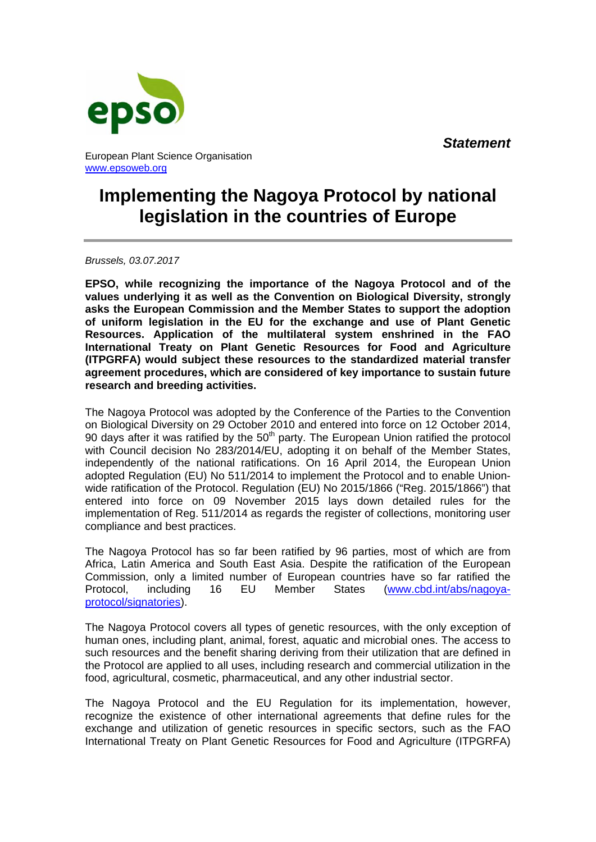*Statement*



European Plant Science Organisation www.epsoweb.org

## **Implementing the Nagoya Protocol by national legislation in the countries of Europe**

*Brussels, 03.07.2017* 

**EPSO, while recognizing the importance of the Nagoya Protocol and of the values underlying it as well as the Convention on Biological Diversity, strongly asks the European Commission and the Member States to support the adoption of uniform legislation in the EU for the exchange and use of Plant Genetic Resources. Application of the multilateral system enshrined in the FAO International Treaty on Plant Genetic Resources for Food and Agriculture (ITPGRFA) would subject these resources to the standardized material transfer agreement procedures, which are considered of key importance to sustain future research and breeding activities.** 

The Nagoya Protocol was adopted by the Conference of the Parties to the Convention on Biological Diversity on 29 October 2010 and entered into force on 12 October 2014, 90 days after it was ratified by the  $50<sup>th</sup>$  party. The European Union ratified the protocol with Council decision No 283/2014/EU, adopting it on behalf of the Member States, independently of the national ratifications. On 16 April 2014, the European Union adopted Regulation (EU) No 511/2014 to implement the Protocol and to enable Unionwide ratification of the Protocol. Regulation (EU) No 2015/1866 ("Reg. 2015/1866") that entered into force on 09 November 2015 lays down detailed rules for the implementation of Reg. 511/2014 as regards the register of collections, monitoring user compliance and best practices.

The Nagoya Protocol has so far been ratified by 96 parties, most of which are from Africa, Latin America and South East Asia. Despite the ratification of the European Commission, only a limited number of European countries have so far ratified the Protocol, including 16 EU Member States (www.cbd.int/abs/nagoyaprotocol/signatories).

The Nagoya Protocol covers all types of genetic resources, with the only exception of human ones, including plant, animal, forest, aquatic and microbial ones. The access to such resources and the benefit sharing deriving from their utilization that are defined in the Protocol are applied to all uses, including research and commercial utilization in the food, agricultural, cosmetic, pharmaceutical, and any other industrial sector.

The Nagoya Protocol and the EU Regulation for its implementation, however, recognize the existence of other international agreements that define rules for the exchange and utilization of genetic resources in specific sectors, such as the FAO International Treaty on Plant Genetic Resources for Food and Agriculture (ITPGRFA)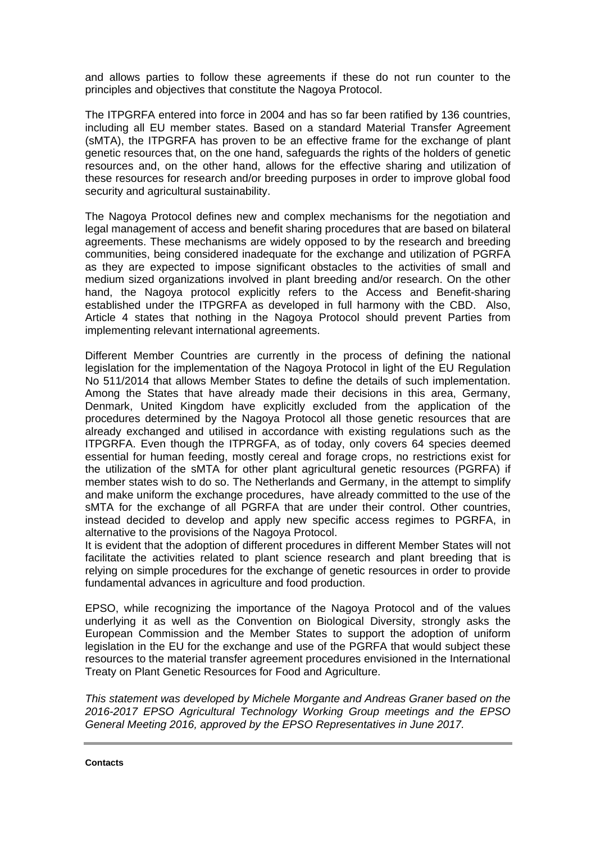and allows parties to follow these agreements if these do not run counter to the principles and objectives that constitute the Nagoya Protocol.

The ITPGRFA entered into force in 2004 and has so far been ratified by 136 countries, including all EU member states. Based on a standard Material Transfer Agreement (sMTA), the ITPGRFA has proven to be an effective frame for the exchange of plant genetic resources that, on the one hand, safeguards the rights of the holders of genetic resources and, on the other hand, allows for the effective sharing and utilization of these resources for research and/or breeding purposes in order to improve global food security and agricultural sustainability.

The Nagoya Protocol defines new and complex mechanisms for the negotiation and legal management of access and benefit sharing procedures that are based on bilateral agreements. These mechanisms are widely opposed to by the research and breeding communities, being considered inadequate for the exchange and utilization of PGRFA as they are expected to impose significant obstacles to the activities of small and medium sized organizations involved in plant breeding and/or research. On the other hand, the Nagoya protocol explicitly refers to the Access and Benefit-sharing established under the ITPGRFA as developed in full harmony with the CBD. Also, Article 4 states that nothing in the Nagoya Protocol should prevent Parties from implementing relevant international agreements.

Different Member Countries are currently in the process of defining the national legislation for the implementation of the Nagoya Protocol in light of the EU Regulation No 511/2014 that allows Member States to define the details of such implementation. Among the States that have already made their decisions in this area, Germany, Denmark, United Kingdom have explicitly excluded from the application of the procedures determined by the Nagoya Protocol all those genetic resources that are already exchanged and utilised in accordance with existing regulations such as the ITPGRFA. Even though the ITPRGFA, as of today, only covers 64 species deemed essential for human feeding, mostly cereal and forage crops, no restrictions exist for the utilization of the sMTA for other plant agricultural genetic resources (PGRFA) if member states wish to do so. The Netherlands and Germany, in the attempt to simplify and make uniform the exchange procedures, have already committed to the use of the sMTA for the exchange of all PGRFA that are under their control. Other countries, instead decided to develop and apply new specific access regimes to PGRFA, in alternative to the provisions of the Nagoya Protocol.

It is evident that the adoption of different procedures in different Member States will not facilitate the activities related to plant science research and plant breeding that is relying on simple procedures for the exchange of genetic resources in order to provide fundamental advances in agriculture and food production.

EPSO, while recognizing the importance of the Nagoya Protocol and of the values underlying it as well as the Convention on Biological Diversity, strongly asks the European Commission and the Member States to support the adoption of uniform legislation in the EU for the exchange and use of the PGRFA that would subject these resources to the material transfer agreement procedures envisioned in the International Treaty on Plant Genetic Resources for Food and Agriculture.

*This statement was developed by Michele Morgante and Andreas Graner based on the 2016-2017 EPSO Agricultural Technology Working Group meetings and the EPSO General Meeting 2016, approved by the EPSO Representatives in June 2017.*